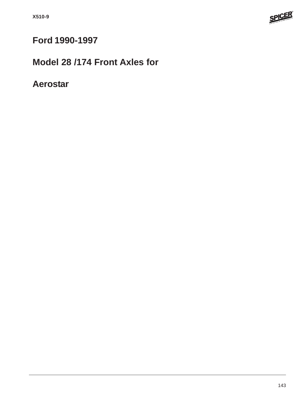

# **Ford 1990-1997**

# **Model 28 /174 Front Axles for**

## **Aerostar**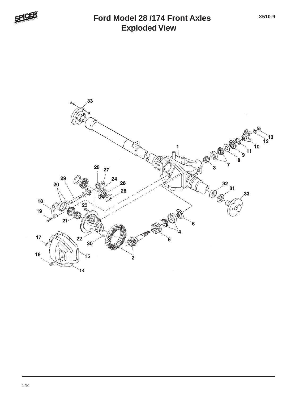

### **Exploded View Ford Model 28 /174 Front Axles**